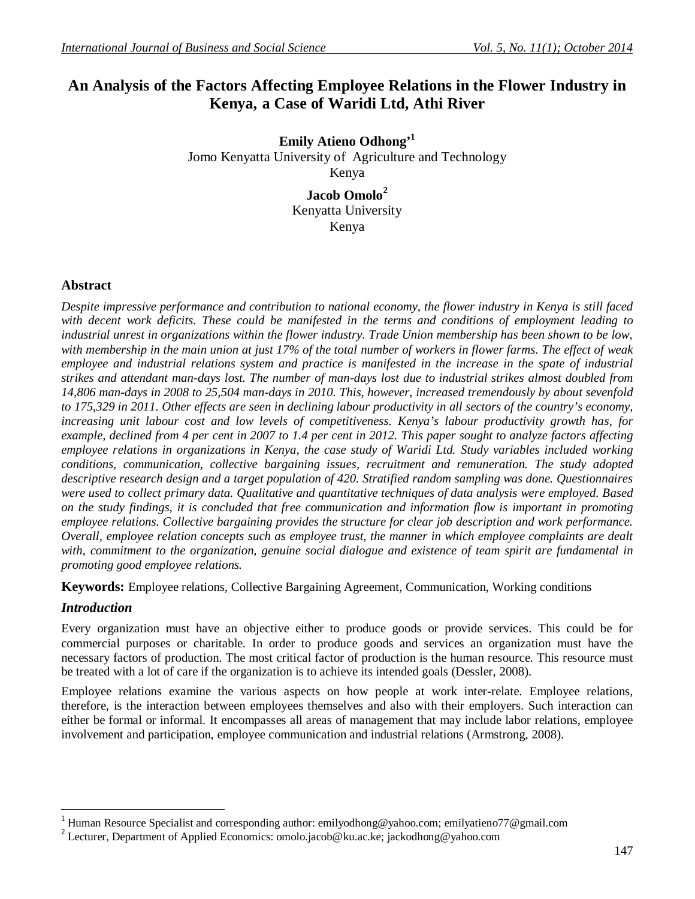# **An Analysis of the Factors Affecting Employee Relations in the Flower Industry in Kenya, a Case of Waridi Ltd, Athi River**

**Emily Atieno Odhong'<sup>1</sup>** Jomo Kenyatta University of Agriculture and Technology Kenya

> **Jacob Omolo<sup>2</sup>** Kenyatta University Kenya

### **Abstract**

*Despite impressive performance and contribution to national economy, the flower industry in Kenya is still faced with decent work deficits. These could be manifested in the terms and conditions of employment leading to industrial unrest in organizations within the flower industry. Trade Union membership has been shown to be low, with membership in the main union at just 17% of the total number of workers in flower farms. The effect of weak*  employee and industrial relations system and practice is manifested in the increase in the spate of industrial *strikes and attendant man-days lost. The number of man-days lost due to industrial strikes almost doubled from 14,806 man-days in 2008 to 25,504 man-days in 2010. This, however, increased tremendously by about sevenfold to 175,329 in 2011. Other effects are seen in declining labour productivity in all sectors of the country's economy, increasing unit labour cost and low levels of competitiveness. Kenya's labour productivity growth has, for example, declined from 4 per cent in 2007 to 1.4 per cent in 2012. This paper sought to analyze factors affecting employee relations in organizations in Kenya, the case study of Waridi Ltd. Study variables included working conditions, communication, collective bargaining issues, recruitment and remuneration. The study adopted descriptive research design and a target population of 420. Stratified random sampling was done. Questionnaires were used to collect primary data. Qualitative and quantitative techniques of data analysis were employed. Based on the study findings, it is concluded that free communication and information flow is important in promoting employee relations. Collective bargaining provides the structure for clear job description and work performance. Overall, employee relation concepts such as employee trust, the manner in which employee complaints are dealt with, commitment to the organization, genuine social dialogue and existence of team spirit are fundamental in promoting good employee relations.* 

**Keywords:** Employee relations, Collective Bargaining Agreement, Communication, Working conditions

### *Introduction*

 $\overline{a}$ 

Every organization must have an objective either to produce goods or provide services. This could be for commercial purposes or charitable. In order to produce goods and services an organization must have the necessary factors of production. The most critical factor of production is the human resource. This resource must be treated with a lot of care if the organization is to achieve its intended goals (Dessler, 2008).

Employee relations examine the various aspects on how people at work inter-relate. Employee relations, therefore, is the interaction between employees themselves and also with their employers. Such interaction can either be formal or informal. It encompasses all areas of management that may include labor relations, employee involvement and participation, employee communication and industrial relations (Armstrong, 2008).

<sup>1</sup> Human Resource Specialist and corresponding author: emilyodhong@yahoo.com; emilyatieno77@gmail.com

<sup>2</sup> Lecturer, Department of Applied Economics: omolo.jacob@ku.ac.ke; jackodhong@yahoo.com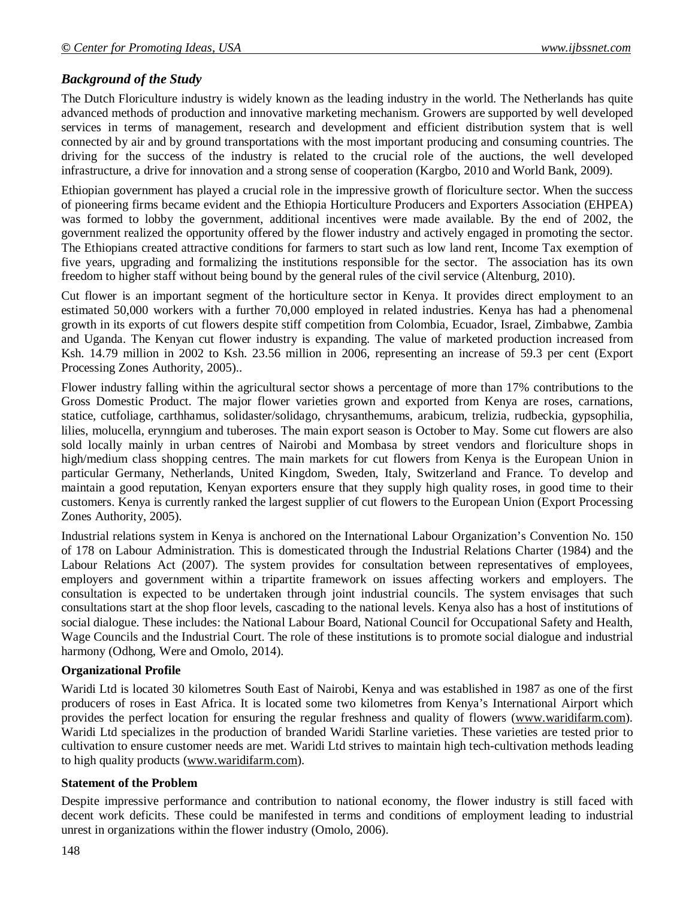## *Background of the Study*

The Dutch Floriculture industry is widely known as the leading industry in the world. The Netherlands has quite advanced methods of production and innovative marketing mechanism. Growers are supported by well developed services in terms of management, research and development and efficient distribution system that is well connected by air and by ground transportations with the most important producing and consuming countries. The driving for the success of the industry is related to the crucial role of the auctions, the well developed infrastructure, a drive for innovation and a strong sense of cooperation (Kargbo, 2010 and World Bank, 2009).

Ethiopian government has played a crucial role in the impressive growth of floriculture sector. When the success of pioneering firms became evident and the Ethiopia Horticulture Producers and Exporters Association (EHPEA) was formed to lobby the government, additional incentives were made available. By the end of 2002, the government realized the opportunity offered by the flower industry and actively engaged in promoting the sector. The Ethiopians created attractive conditions for farmers to start such as low land rent, Income Tax exemption of five years, upgrading and formalizing the institutions responsible for the sector. The association has its own freedom to higher staff without being bound by the general rules of the civil service (Altenburg, 2010).

Cut flower is an important segment of the horticulture sector in Kenya. It provides direct employment to an estimated 50,000 workers with a further 70,000 employed in related industries. Kenya has had a phenomenal growth in its exports of cut flowers despite stiff competition from Colombia, Ecuador, Israel, Zimbabwe, Zambia and Uganda. The Kenyan cut flower industry is expanding. The value of marketed production increased from Ksh. 14.79 million in 2002 to Ksh. 23.56 million in 2006, representing an increase of 59.3 per cent (Export Processing Zones Authority, 2005)..

Flower industry falling within the agricultural sector shows a percentage of more than 17% contributions to the Gross Domestic Product. The major flower varieties grown and exported from Kenya are roses, carnations, statice, cutfoliage, carthhamus, solidaster/solidago, chrysanthemums, arabicum, trelizia, rudbeckia, gypsophilia, lilies, molucella, erynngium and tuberoses. The main export season is October to May. Some cut flowers are also sold locally mainly in urban centres of Nairobi and Mombasa by street vendors and floriculture shops in high/medium class shopping centres. The main markets for cut flowers from Kenya is the European Union in particular Germany, Netherlands, United Kingdom, Sweden, Italy, Switzerland and France. To develop and maintain a good reputation, Kenyan exporters ensure that they supply high quality roses, in good time to their customers. Kenya is currently ranked the largest supplier of cut flowers to the European Union (Export Processing Zones Authority, 2005).

Industrial relations system in Kenya is anchored on the International Labour Organization's Convention No. 150 of 178 on Labour Administration. This is domesticated through the Industrial Relations Charter (1984) and the Labour Relations Act (2007). The system provides for consultation between representatives of employees, employers and government within a tripartite framework on issues affecting workers and employers. The consultation is expected to be undertaken through joint industrial councils. The system envisages that such consultations start at the shop floor levels, cascading to the national levels. Kenya also has a host of institutions of social dialogue. These includes: the National Labour Board, National Council for Occupational Safety and Health, Wage Councils and the Industrial Court. The role of these institutions is to promote social dialogue and industrial harmony (Odhong, Were and Omolo, 2014).

### **Organizational Profile**

Waridi Ltd is located 30 kilometres South East of Nairobi, Kenya and was established in 1987 as one of the first producers of roses in East Africa. It is located some two kilometres from Kenya's International Airport which provides the perfect location for ensuring the regular freshness and quality of flowers (www.waridifarm.com). Waridi Ltd specializes in the production of branded Waridi Starline varieties. These varieties are tested prior to cultivation to ensure customer needs are met. Waridi Ltd strives to maintain high tech-cultivation methods leading to high quality products (www.waridifarm.com).

#### **Statement of the Problem**

Despite impressive performance and contribution to national economy, the flower industry is still faced with decent work deficits. These could be manifested in terms and conditions of employment leading to industrial unrest in organizations within the flower industry (Omolo, 2006).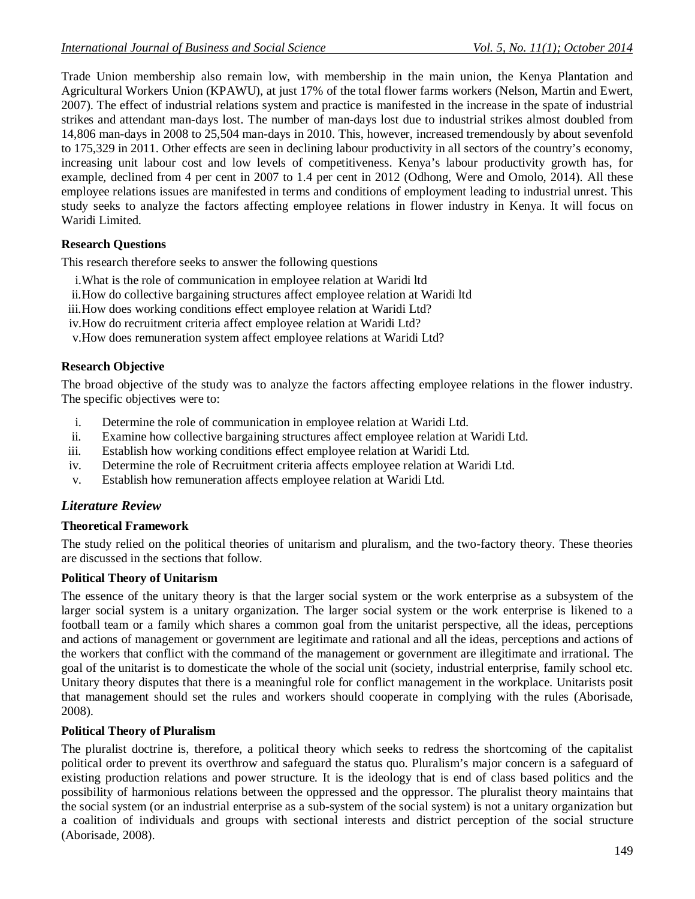Trade Union membership also remain low, with membership in the main union, the Kenya Plantation and Agricultural Workers Union (KPAWU), at just 17% of the total flower farms workers (Nelson, Martin and Ewert, 2007). The effect of industrial relations system and practice is manifested in the increase in the spate of industrial strikes and attendant man-days lost. The number of man-days lost due to industrial strikes almost doubled from 14,806 man-days in 2008 to 25,504 man-days in 2010. This, however, increased tremendously by about sevenfold to 175,329 in 2011. Other effects are seen in declining labour productivity in all sectors of the country's economy, increasing unit labour cost and low levels of competitiveness. Kenya's labour productivity growth has, for example, declined from 4 per cent in 2007 to 1.4 per cent in 2012 (Odhong, Were and Omolo, 2014). All these employee relations issues are manifested in terms and conditions of employment leading to industrial unrest. This study seeks to analyze the factors affecting employee relations in flower industry in Kenya. It will focus on Waridi Limited.

### **Research Questions**

This research therefore seeks to answer the following questions

- i.What is the role of communication in employee relation at Waridi ltd
- ii.How do collective bargaining structures affect employee relation at Waridi ltd
- iii.How does working conditions effect employee relation at Waridi Ltd?
- iv.How do recruitment criteria affect employee relation at Waridi Ltd?
- v.How does remuneration system affect employee relations at Waridi Ltd?

#### **Research Objective**

The broad objective of the study was to analyze the factors affecting employee relations in the flower industry. The specific objectives were to:

- i. Determine the role of communication in employee relation at Waridi Ltd.
- ii. Examine how collective bargaining structures affect employee relation at Waridi Ltd.
- iii. Establish how working conditions effect employee relation at Waridi Ltd.
- iv. Determine the role of Recruitment criteria affects employee relation at Waridi Ltd.
- v. Establish how remuneration affects employee relation at Waridi Ltd.

### *Literature Review*

#### **Theoretical Framework**

The study relied on the political theories of unitarism and pluralism, and the two-factory theory. These theories are discussed in the sections that follow.

### **Political Theory of Unitarism**

The essence of the unitary theory is that the larger social system or the work enterprise as a subsystem of the larger social system is a unitary organization. The larger social system or the work enterprise is likened to a football team or a family which shares a common goal from the unitarist perspective, all the ideas, perceptions and actions of management or government are legitimate and rational and all the ideas, perceptions and actions of the workers that conflict with the command of the management or government are illegitimate and irrational. The goal of the unitarist is to domesticate the whole of the social unit (society, industrial enterprise, family school etc. Unitary theory disputes that there is a meaningful role for conflict management in the workplace. Unitarists posit that management should set the rules and workers should cooperate in complying with the rules (Aborisade, 2008).

#### **Political Theory of Pluralism**

The pluralist doctrine is, therefore, a political theory which seeks to redress the shortcoming of the capitalist political order to prevent its overthrow and safeguard the status quo. Pluralism's major concern is a safeguard of existing production relations and power structure. It is the ideology that is end of class based politics and the possibility of harmonious relations between the oppressed and the oppressor. The pluralist theory maintains that the social system (or an industrial enterprise as a sub-system of the social system) is not a unitary organization but a coalition of individuals and groups with sectional interests and district perception of the social structure (Aborisade, 2008).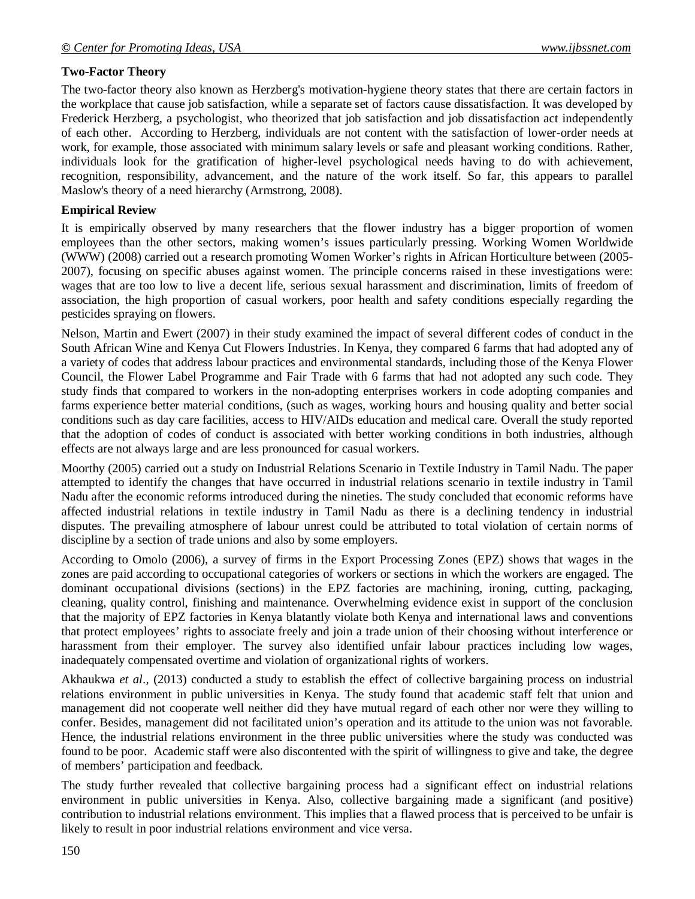### **Two-Factor Theory**

The two-factor theory also known as Herzberg's motivation-hygiene theory states that there are certain factors in the workplace that cause job satisfaction, while a separate set of factors cause dissatisfaction. It was developed by Frederick Herzberg, a psychologist, who theorized that job satisfaction and job dissatisfaction act independently of each other. According to Herzberg, individuals are not content with the satisfaction of lower-order needs at work, for example, those associated with minimum salary levels or safe and pleasant working conditions. Rather, individuals look for the gratification of higher-level psychological needs having to do with achievement, recognition, responsibility, advancement, and the nature of the work itself. So far, this appears to parallel Maslow's theory of a need hierarchy (Armstrong, 2008).

#### **Empirical Review**

It is empirically observed by many researchers that the flower industry has a bigger proportion of women employees than the other sectors, making women's issues particularly pressing. Working Women Worldwide (WWW) (2008) carried out a research promoting Women Worker's rights in African Horticulture between (2005- 2007), focusing on specific abuses against women. The principle concerns raised in these investigations were: wages that are too low to live a decent life, serious sexual harassment and discrimination, limits of freedom of association, the high proportion of casual workers, poor health and safety conditions especially regarding the pesticides spraying on flowers.

Nelson, Martin and Ewert (2007) in their study examined the impact of several different codes of conduct in the South African Wine and Kenya Cut Flowers Industries. In Kenya, they compared 6 farms that had adopted any of a variety of codes that address labour practices and environmental standards, including those of the Kenya Flower Council, the Flower Label Programme and Fair Trade with 6 farms that had not adopted any such code. They study finds that compared to workers in the non-adopting enterprises workers in code adopting companies and farms experience better material conditions, (such as wages, working hours and housing quality and better social conditions such as day care facilities, access to HIV/AIDs education and medical care. Overall the study reported that the adoption of codes of conduct is associated with better working conditions in both industries, although effects are not always large and are less pronounced for casual workers.

Moorthy (2005) carried out a study on Industrial Relations Scenario in Textile Industry in Tamil Nadu. The paper attempted to identify the changes that have occurred in industrial relations scenario in textile industry in Tamil Nadu after the economic reforms introduced during the nineties. The study concluded that economic reforms have affected industrial relations in textile industry in Tamil Nadu as there is a declining tendency in industrial disputes. The prevailing atmosphere of labour unrest could be attributed to total violation of certain norms of discipline by a section of trade unions and also by some employers.

According to Omolo (2006), a survey of firms in the Export Processing Zones (EPZ) shows that wages in the zones are paid according to occupational categories of workers or sections in which the workers are engaged. The dominant occupational divisions (sections) in the EPZ factories are machining, ironing, cutting, packaging, cleaning, quality control, finishing and maintenance. Overwhelming evidence exist in support of the conclusion that the majority of EPZ factories in Kenya blatantly violate both Kenya and international laws and conventions that protect employees' rights to associate freely and join a trade union of their choosing without interference or harassment from their employer. The survey also identified unfair labour practices including low wages, inadequately compensated overtime and violation of organizational rights of workers.

Akhaukwa *et al*., (2013) conducted a study to establish the effect of collective bargaining process on industrial relations environment in public universities in Kenya. The study found that academic staff felt that union and management did not cooperate well neither did they have mutual regard of each other nor were they willing to confer. Besides, management did not facilitated union's operation and its attitude to the union was not favorable. Hence, the industrial relations environment in the three public universities where the study was conducted was found to be poor. Academic staff were also discontented with the spirit of willingness to give and take, the degree of members' participation and feedback.

The study further revealed that collective bargaining process had a significant effect on industrial relations environment in public universities in Kenya. Also, collective bargaining made a significant (and positive) contribution to industrial relations environment. This implies that a flawed process that is perceived to be unfair is likely to result in poor industrial relations environment and vice versa.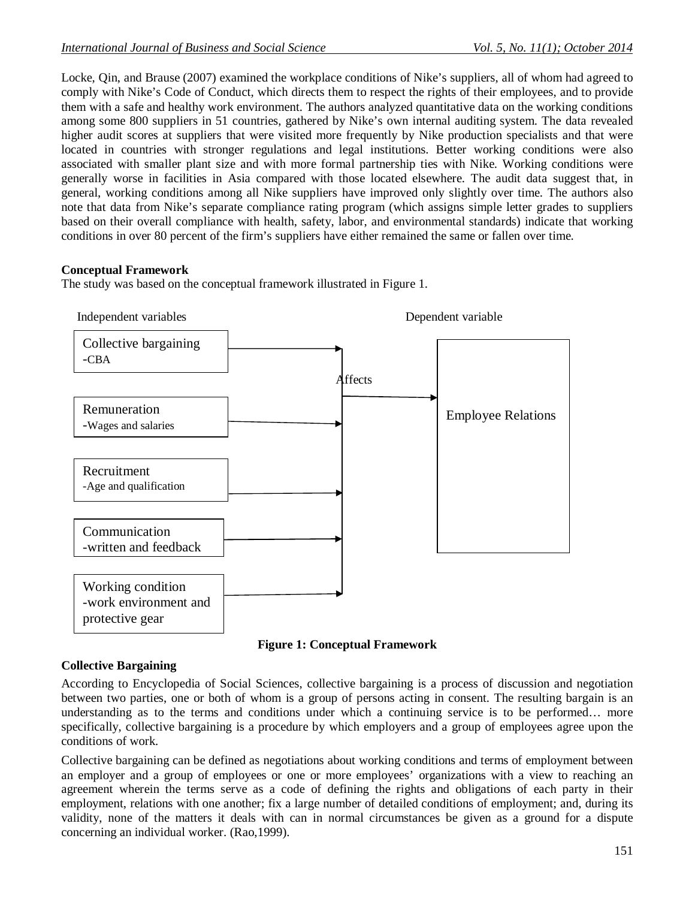Locke, Qin, and Brause (2007) examined the workplace conditions of Nike's suppliers, all of whom had agreed to comply with Nike's Code of Conduct, which directs them to respect the rights of their employees, and to provide them with a safe and healthy work environment. The authors analyzed quantitative data on the working conditions among some 800 suppliers in 51 countries, gathered by Nike's own internal auditing system. The data revealed higher audit scores at suppliers that were visited more frequently by Nike production specialists and that were located in countries with stronger regulations and legal institutions. Better working conditions were also associated with smaller plant size and with more formal partnership ties with Nike. Working conditions were generally worse in facilities in Asia compared with those located elsewhere. The audit data suggest that, in general, working conditions among all Nike suppliers have improved only slightly over time. The authors also note that data from Nike's separate compliance rating program (which assigns simple letter grades to suppliers based on their overall compliance with health, safety, labor, and environmental standards) indicate that working conditions in over 80 percent of the firm's suppliers have either remained the same or fallen over time.

## **Conceptual Framework**

The study was based on the conceptual framework illustrated in Figure 1.



**Figure 1: Conceptual Framework**

## **Collective Bargaining**

According to Encyclopedia of Social Sciences, collective bargaining is a process of discussion and negotiation between two parties, one or both of whom is a group of persons acting in consent. The resulting bargain is an understanding as to the terms and conditions under which a continuing service is to be performed… more specifically, collective bargaining is a procedure by which employers and a group of employees agree upon the conditions of work.

Collective bargaining can be defined as negotiations about working conditions and terms of employment between an employer and a group of employees or one or more employees' organizations with a view to reaching an agreement wherein the terms serve as a code of defining the rights and obligations of each party in their employment, relations with one another; fix a large number of detailed conditions of employment; and, during its validity, none of the matters it deals with can in normal circumstances be given as a ground for a dispute concerning an individual worker. (Rao,1999).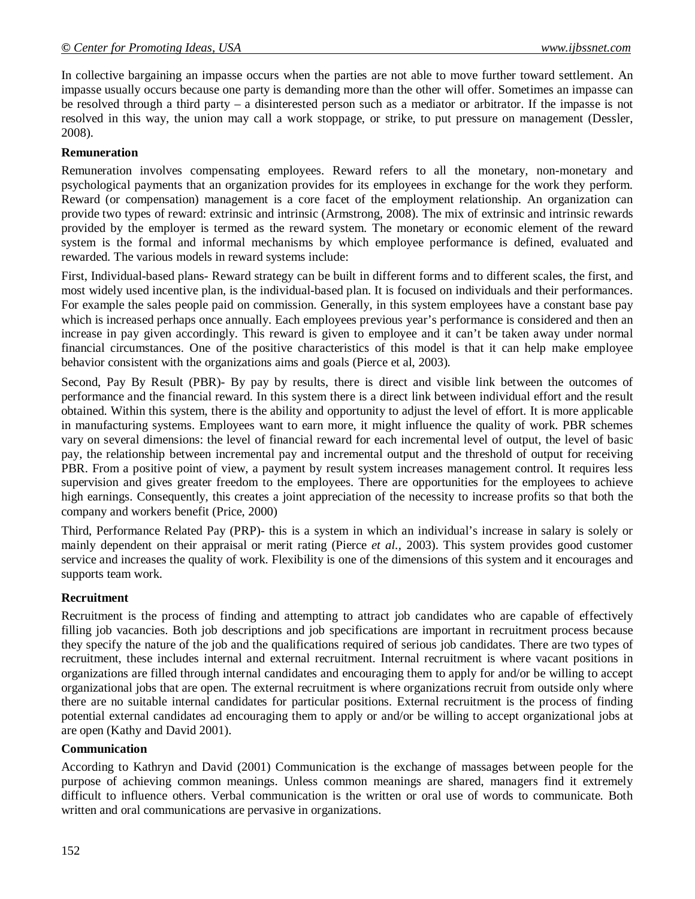In collective bargaining an impasse occurs when the parties are not able to move further toward settlement. An impasse usually occurs because one party is demanding more than the other will offer. Sometimes an impasse can be resolved through a third party – a disinterested person such as a mediator or arbitrator. If the impasse is not resolved in this way, the union may call a work stoppage, or strike, to put pressure on management (Dessler, 2008).

#### **Remuneration**

Remuneration involves compensating employees. Reward refers to all the monetary, non-monetary and psychological payments that an organization provides for its employees in exchange for the work they perform. Reward (or compensation) management is a core facet of the employment relationship. An organization can provide two types of reward: extrinsic and intrinsic (Armstrong, 2008). The mix of extrinsic and intrinsic rewards provided by the employer is termed as the reward system. The monetary or economic element of the reward system is the formal and informal mechanisms by which employee performance is defined, evaluated and rewarded. The various models in reward systems include:

First, Individual-based plans- Reward strategy can be built in different forms and to different scales, the first, and most widely used incentive plan, is the individual-based plan. It is focused on individuals and their performances. For example the sales people paid on commission. Generally, in this system employees have a constant base pay which is increased perhaps once annually. Each employees previous year's performance is considered and then an increase in pay given accordingly. This reward is given to employee and it can't be taken away under normal financial circumstances. One of the positive characteristics of this model is that it can help make employee behavior consistent with the organizations aims and goals (Pierce et al, 2003).

Second, Pay By Result (PBR)- By pay by results, there is direct and visible link between the outcomes of performance and the financial reward. In this system there is a direct link between individual effort and the result obtained. Within this system, there is the ability and opportunity to adjust the level of effort. It is more applicable in manufacturing systems. Employees want to earn more, it might influence the quality of work. PBR schemes vary on several dimensions: the level of financial reward for each incremental level of output, the level of basic pay, the relationship between incremental pay and incremental output and the threshold of output for receiving PBR. From a positive point of view, a payment by result system increases management control. It requires less supervision and gives greater freedom to the employees. There are opportunities for the employees to achieve high earnings. Consequently, this creates a joint appreciation of the necessity to increase profits so that both the company and workers benefit (Price, 2000)

Third, Performance Related Pay (PRP)- this is a system in which an individual's increase in salary is solely or mainly dependent on their appraisal or merit rating (Pierce *et al.,* 2003). This system provides good customer service and increases the quality of work. Flexibility is one of the dimensions of this system and it encourages and supports team work.

### **Recruitment**

Recruitment is the process of finding and attempting to attract job candidates who are capable of effectively filling job vacancies. Both job descriptions and job specifications are important in recruitment process because they specify the nature of the job and the qualifications required of serious job candidates. There are two types of recruitment, these includes internal and external recruitment. Internal recruitment is where vacant positions in organizations are filled through internal candidates and encouraging them to apply for and/or be willing to accept organizational jobs that are open. The external recruitment is where organizations recruit from outside only where there are no suitable internal candidates for particular positions. External recruitment is the process of finding potential external candidates ad encouraging them to apply or and/or be willing to accept organizational jobs at are open (Kathy and David 2001).

#### **Communication**

According to Kathryn and David (2001) Communication is the exchange of massages between people for the purpose of achieving common meanings. Unless common meanings are shared, managers find it extremely difficult to influence others. Verbal communication is the written or oral use of words to communicate. Both written and oral communications are pervasive in organizations.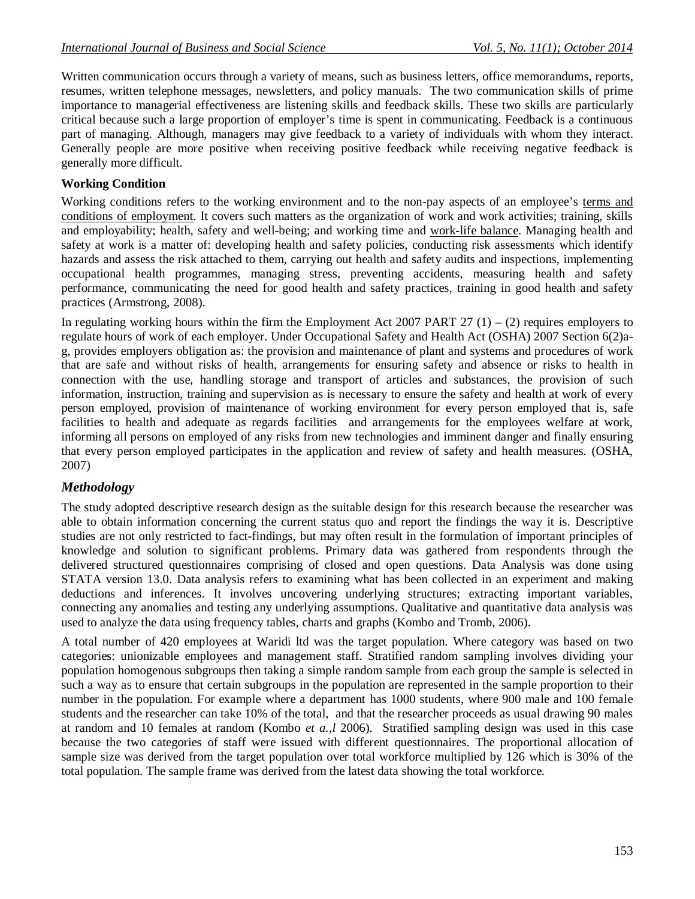Written communication occurs through a variety of means, such as business letters, office memorandums, reports, resumes, written telephone messages, newsletters, and policy manuals. The two communication skills of prime importance to managerial effectiveness are listening skills and feedback skills. These two skills are particularly critical because such a large proportion of employer's time is spent in communicating. Feedback is a continuous part of managing. Although, managers may give feedback to a variety of individuals with whom they interact. Generally people are more positive when receiving positive feedback while receiving negative feedback is generally more difficult.

### **Working Condition**

Working conditions refers to the working environment and to the non-pay aspects of an employee's terms and conditions of employment. It covers such matters as the organization of work and work activities; training, skills and employability; health, safety and well-being; and working time and work-life balance. Managing health and safety at work is a matter of: developing health and safety policies, conducting risk assessments which identify hazards and assess the risk attached to them, carrying out health and safety audits and inspections, implementing occupational health programmes, managing stress, preventing accidents, measuring health and safety performance, communicating the need for good health and safety practices, training in good health and safety practices (Armstrong, 2008).

In regulating working hours within the firm the Employment Act 2007 PART 27  $(1) - (2)$  requires employers to regulate hours of work of each employer. Under Occupational Safety and Health Act (OSHA) 2007 Section 6(2)ag, provides employers obligation as: the provision and maintenance of plant and systems and procedures of work that are safe and without risks of health, arrangements for ensuring safety and absence or risks to health in connection with the use, handling storage and transport of articles and substances, the provision of such information, instruction, training and supervision as is necessary to ensure the safety and health at work of every person employed, provision of maintenance of working environment for every person employed that is, safe facilities to health and adequate as regards facilities and arrangements for the employees welfare at work, informing all persons on employed of any risks from new technologies and imminent danger and finally ensuring that every person employed participates in the application and review of safety and health measures. (OSHA, 2007)

### *Methodology*

The study adopted descriptive research design as the suitable design for this research because the researcher was able to obtain information concerning the current status quo and report the findings the way it is. Descriptive studies are not only restricted to fact-findings, but may often result in the formulation of important principles of knowledge and solution to significant problems. Primary data was gathered from respondents through the delivered structured questionnaires comprising of closed and open questions. Data Analysis was done using STATA version 13.0. Data analysis refers to examining what has been collected in an experiment and making deductions and inferences. It involves uncovering underlying structures; extracting important variables, connecting any anomalies and testing any underlying assumptions. Qualitative and quantitative data analysis was used to analyze the data using frequency tables, charts and graphs (Kombo and Tromb, 2006).

A total number of 420 employees at Waridi ltd was the target population. Where category was based on two categories: unionizable employees and management staff. Stratified random sampling involves dividing your population homogenous subgroups then taking a simple random sample from each group the sample is selected in such a way as to ensure that certain subgroups in the population are represented in the sample proportion to their number in the population. For example where a department has 1000 students, where 900 male and 100 female students and the researcher can take 10% of the total, and that the researcher proceeds as usual drawing 90 males at random and 10 females at random (Kombo *et a.,l* 2006). Stratified sampling design was used in this case because the two categories of staff were issued with different questionnaires. The proportional allocation of sample size was derived from the target population over total workforce multiplied by 126 which is 30% of the total population. The sample frame was derived from the latest data showing the total workforce.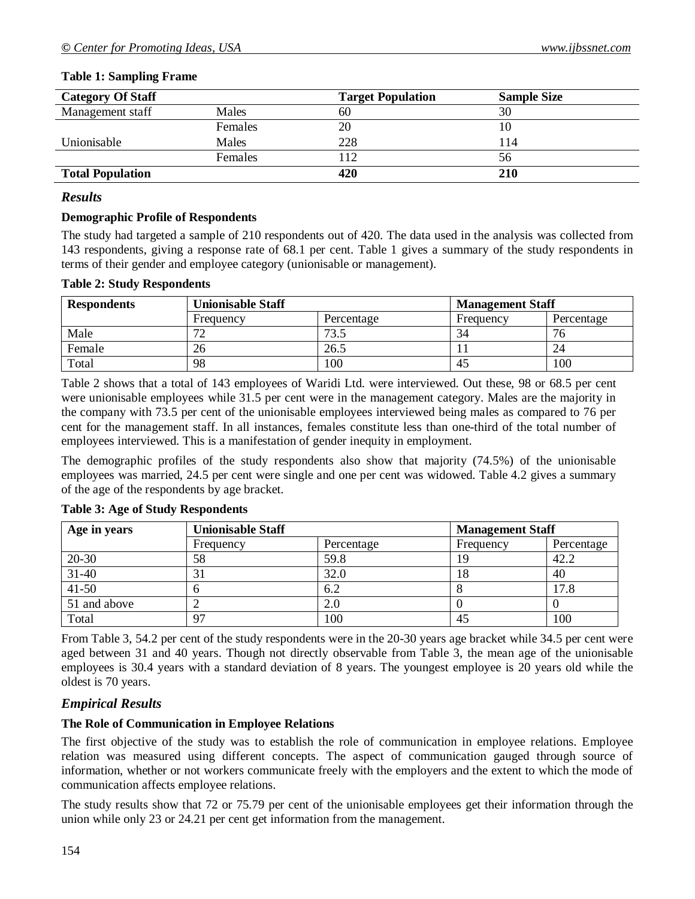| <b>Category Of Staff</b> |              | <b>Target Population</b> | <b>Sample Size</b> |
|--------------------------|--------------|--------------------------|--------------------|
| Management staff         | Males        | 60                       | 30                 |
|                          | Females      | 20                       |                    |
| Unionisable              | <b>Males</b> | 228                      | 114                |
|                          | Females      |                          | 56                 |
| <b>Total Population</b>  |              | 420                      | 210                |

#### **Table 1: Sampling Frame**

#### *Results*

#### **Demographic Profile of Respondents**

The study had targeted a sample of 210 respondents out of 420. The data used in the analysis was collected from 143 respondents, giving a response rate of 68.1 per cent. Table 1 gives a summary of the study respondents in terms of their gender and employee category (unionisable or management).

#### **Table 2: Study Respondents**

| <b>Respondents</b> | <b>Unionisable Staff</b> |                 | <b>Management Staff</b> |            |  |
|--------------------|--------------------------|-----------------|-------------------------|------------|--|
|                    | Percentage<br>Frequency  |                 | Frequency               | Percentage |  |
| Male               |                          | 72 <sub>1</sub> | 34                      | / O        |  |
| Female             | 26                       | 26.5            |                         | 24         |  |
| Total              | 98                       | 100             | 45                      | 100        |  |

Table 2 shows that a total of 143 employees of Waridi Ltd. were interviewed. Out these, 98 or 68.5 per cent were unionisable employees while 31.5 per cent were in the management category. Males are the majority in the company with 73.5 per cent of the unionisable employees interviewed being males as compared to 76 per cent for the management staff. In all instances, females constitute less than one-third of the total number of employees interviewed. This is a manifestation of gender inequity in employment.

The demographic profiles of the study respondents also show that majority (74.5%) of the unionisable employees was married, 24.5 per cent were single and one per cent was widowed. Table 4.2 gives a summary of the age of the respondents by age bracket.

| Age in years | <b>Unionisable Staff</b> |            | <b>Management Staff</b> |            |  |
|--------------|--------------------------|------------|-------------------------|------------|--|
|              | Frequency                | Percentage | Frequency               | Percentage |  |
| 20-30        | 58                       | 59.8       | 19                      | 42.2       |  |
| $31 - 40$    | ĴГ                       | 32.0       | 18                      | 40         |  |
| $41 - 50$    |                          | 6.2        |                         | 17.8       |  |
| 51 and above |                          | 2.0        |                         |            |  |
| Total        | 97                       | 100        | 45                      | 100        |  |

#### **Table 3: Age of Study Respondents**

From Table 3, 54.2 per cent of the study respondents were in the 20-30 years age bracket while 34.5 per cent were aged between 31 and 40 years. Though not directly observable from Table 3, the mean age of the unionisable employees is 30.4 years with a standard deviation of 8 years. The youngest employee is 20 years old while the oldest is 70 years.

### *Empirical Results*

### **The Role of Communication in Employee Relations**

The first objective of the study was to establish the role of communication in employee relations. Employee relation was measured using different concepts. The aspect of communication gauged through source of information, whether or not workers communicate freely with the employers and the extent to which the mode of communication affects employee relations.

The study results show that 72 or 75.79 per cent of the unionisable employees get their information through the union while only 23 or 24.21 per cent get information from the management.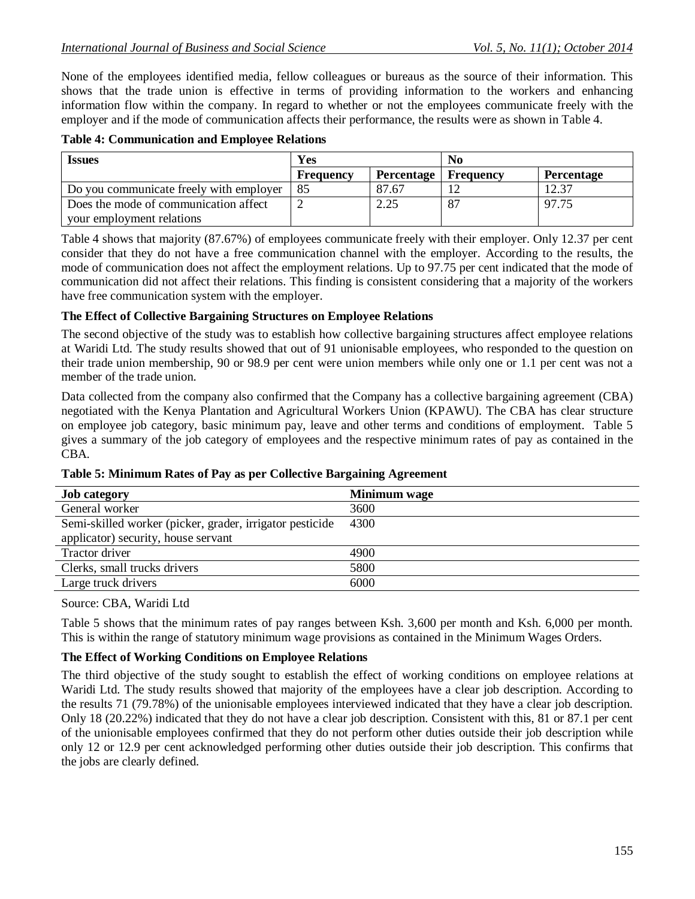None of the employees identified media, fellow colleagues or bureaus as the source of their information. This shows that the trade union is effective in terms of providing information to the workers and enhancing information flow within the company. In regard to whether or not the employees communicate freely with the employer and if the mode of communication affects their performance, the results were as shown in Table 4.

| Yes<br><i><u><b>Issues</b></u></i>      |                  | No                |                  |                   |
|-----------------------------------------|------------------|-------------------|------------------|-------------------|
|                                         | <b>Frequency</b> | <b>Percentage</b> | <b>Frequency</b> | <b>Percentage</b> |
| Do you communicate freely with employer | 85               | 87.67             |                  | 19 37             |
| Does the mode of communication affect   |                  | 2.25              |                  | 97.75             |
| your employment relations               |                  |                   |                  |                   |

Table 4 shows that majority (87.67%) of employees communicate freely with their employer. Only 12.37 per cent consider that they do not have a free communication channel with the employer. According to the results, the mode of communication does not affect the employment relations. Up to 97.75 per cent indicated that the mode of communication did not affect their relations. This finding is consistent considering that a majority of the workers have free communication system with the employer.

#### **The Effect of Collective Bargaining Structures on Employee Relations**

The second objective of the study was to establish how collective bargaining structures affect employee relations at Waridi Ltd. The study results showed that out of 91 unionisable employees, who responded to the question on their trade union membership, 90 or 98.9 per cent were union members while only one or 1.1 per cent was not a member of the trade union.

Data collected from the company also confirmed that the Company has a collective bargaining agreement (CBA) negotiated with the Kenya Plantation and Agricultural Workers Union (KPAWU). The CBA has clear structure on employee job category, basic minimum pay, leave and other terms and conditions of employment. Table 5 gives a summary of the job category of employees and the respective minimum rates of pay as contained in the CBA.

| <b>Job category</b>                                      | Minimum wage |
|----------------------------------------------------------|--------------|
| General worker                                           | 3600         |
| Semi-skilled worker (picker, grader, irrigator pesticide | 4300         |
| applicator) security, house servant                      |              |
| Tractor driver                                           | 4900         |
| Clerks, small trucks drivers                             | 5800         |
| Large truck drivers                                      | 6000         |

**Table 5: Minimum Rates of Pay as per Collective Bargaining Agreement**

#### Source: CBA, Waridi Ltd

Table 5 shows that the minimum rates of pay ranges between Ksh. 3,600 per month and Ksh. 6,000 per month. This is within the range of statutory minimum wage provisions as contained in the Minimum Wages Orders.

### **The Effect of Working Conditions on Employee Relations**

The third objective of the study sought to establish the effect of working conditions on employee relations at Waridi Ltd. The study results showed that majority of the employees have a clear job description. According to the results 71 (79.78%) of the unionisable employees interviewed indicated that they have a clear job description. Only 18 (20.22%) indicated that they do not have a clear job description. Consistent with this, 81 or 87.1 per cent of the unionisable employees confirmed that they do not perform other duties outside their job description while only 12 or 12.9 per cent acknowledged performing other duties outside their job description. This confirms that the jobs are clearly defined.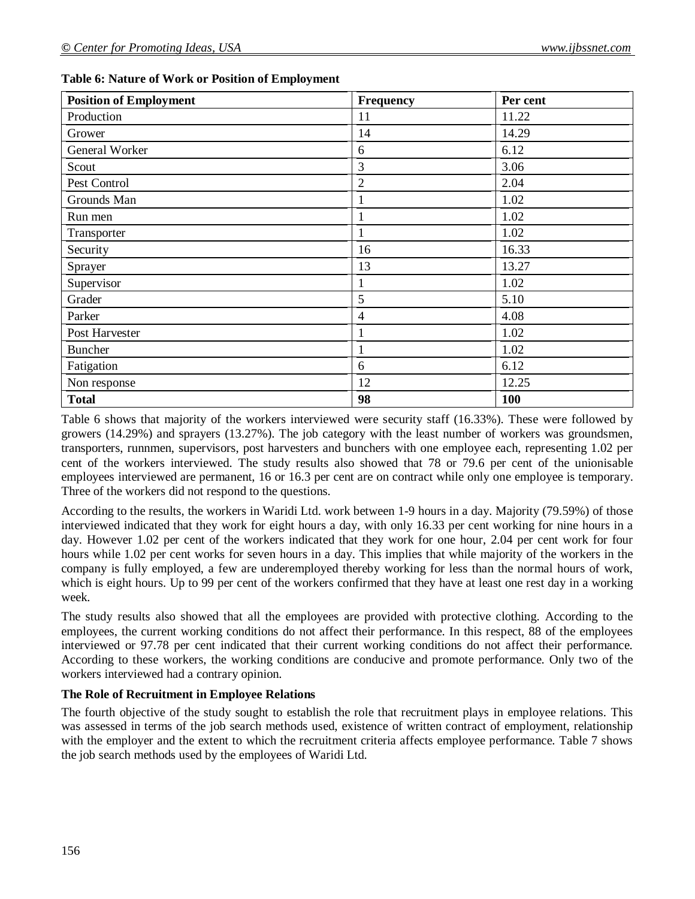|  | Table 6: Nature of Work or Position of Employment |  |
|--|---------------------------------------------------|--|
|  |                                                   |  |

| <b>Position of Employment</b> | <b>Frequency</b> | Per cent |
|-------------------------------|------------------|----------|
| Production                    | 11               | 11.22    |
| Grower                        | 14               | 14.29    |
| General Worker                | 6                | 6.12     |
| Scout                         | 3                | 3.06     |
| Pest Control                  | 2                | 2.04     |
| Grounds Man                   |                  | 1.02     |
| Run men                       |                  | 1.02     |
| Transporter                   |                  | 1.02     |
| Security                      | 16               | 16.33    |
| Sprayer                       | 13               | 13.27    |
| Supervisor                    |                  | 1.02     |
| Grader                        | 5                | 5.10     |
| Parker                        | 4                | 4.08     |
| Post Harvester                |                  | 1.02     |
| <b>Buncher</b>                |                  | 1.02     |
| Fatigation                    | 6                | 6.12     |
| Non response                  | 12               | 12.25    |
| <b>Total</b>                  | 98               | 100      |

Table 6 shows that majority of the workers interviewed were security staff (16.33%). These were followed by growers (14.29%) and sprayers (13.27%). The job category with the least number of workers was groundsmen, transporters, runnmen, supervisors, post harvesters and bunchers with one employee each, representing 1.02 per cent of the workers interviewed. The study results also showed that 78 or 79.6 per cent of the unionisable employees interviewed are permanent, 16 or 16.3 per cent are on contract while only one employee is temporary. Three of the workers did not respond to the questions.

According to the results, the workers in Waridi Ltd. work between 1-9 hours in a day. Majority (79.59%) of those interviewed indicated that they work for eight hours a day, with only 16.33 per cent working for nine hours in a day. However 1.02 per cent of the workers indicated that they work for one hour, 2.04 per cent work for four hours while 1.02 per cent works for seven hours in a day. This implies that while majority of the workers in the company is fully employed, a few are underemployed thereby working for less than the normal hours of work, which is eight hours. Up to 99 per cent of the workers confirmed that they have at least one rest day in a working week.

The study results also showed that all the employees are provided with protective clothing. According to the employees, the current working conditions do not affect their performance. In this respect, 88 of the employees interviewed or 97.78 per cent indicated that their current working conditions do not affect their performance. According to these workers, the working conditions are conducive and promote performance. Only two of the workers interviewed had a contrary opinion.

### **The Role of Recruitment in Employee Relations**

The fourth objective of the study sought to establish the role that recruitment plays in employee relations. This was assessed in terms of the job search methods used, existence of written contract of employment, relationship with the employer and the extent to which the recruitment criteria affects employee performance. Table 7 shows the job search methods used by the employees of Waridi Ltd.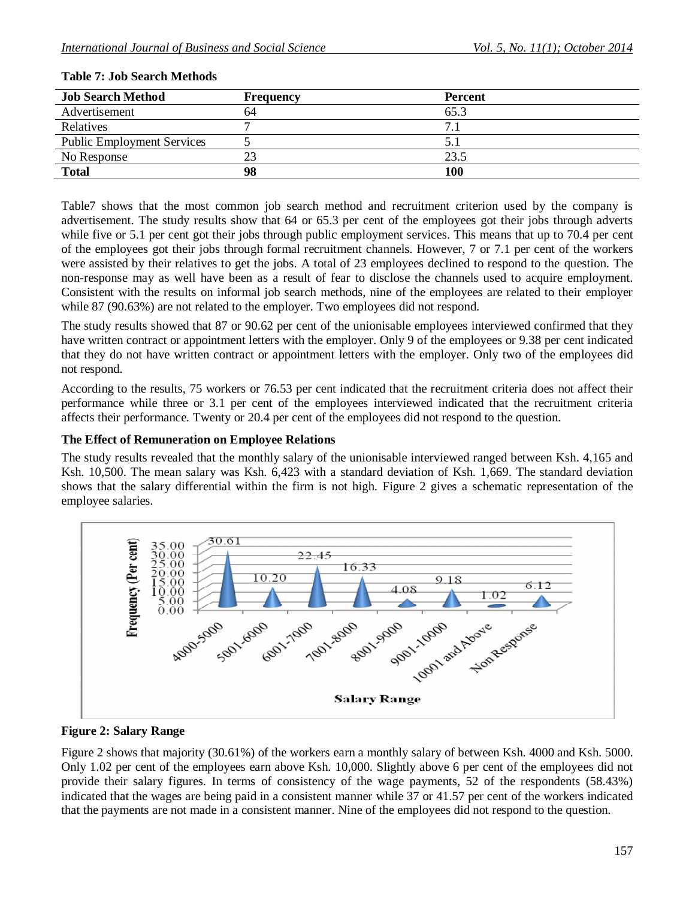| <b>Job Search Method</b>          | <b>Frequency</b> | <b>Percent</b> |
|-----------------------------------|------------------|----------------|
| Advertisement                     | 64               | 65.3           |
| <b>Relatives</b>                  |                  | $\tau$         |
| <b>Public Employment Services</b> |                  |                |
| No Response                       | 23               | 23.5           |
| <b>Total</b>                      | 98               | 100            |

#### **Table 7: Job Search Methods**

Table7 shows that the most common job search method and recruitment criterion used by the company is advertisement. The study results show that 64 or 65.3 per cent of the employees got their jobs through adverts while five or 5.1 per cent got their jobs through public employment services. This means that up to 70.4 per cent of the employees got their jobs through formal recruitment channels. However, 7 or 7.1 per cent of the workers were assisted by their relatives to get the jobs. A total of 23 employees declined to respond to the question. The non-response may as well have been as a result of fear to disclose the channels used to acquire employment. Consistent with the results on informal job search methods, nine of the employees are related to their employer while 87 (90.63%) are not related to the employer. Two employees did not respond.

The study results showed that 87 or 90.62 per cent of the unionisable employees interviewed confirmed that they have written contract or appointment letters with the employer. Only 9 of the employees or 9.38 per cent indicated that they do not have written contract or appointment letters with the employer. Only two of the employees did not respond.

According to the results, 75 workers or 76.53 per cent indicated that the recruitment criteria does not affect their performance while three or 3.1 per cent of the employees interviewed indicated that the recruitment criteria affects their performance. Twenty or 20.4 per cent of the employees did not respond to the question.

### **The Effect of Remuneration on Employee Relations**

The study results revealed that the monthly salary of the unionisable interviewed ranged between Ksh. 4,165 and Ksh. 10,500. The mean salary was Ksh. 6,423 with a standard deviation of Ksh. 1,669. The standard deviation shows that the salary differential within the firm is not high. Figure 2 gives a schematic representation of the employee salaries.



**Figure 2: Salary Range**

Figure 2 shows that majority (30.61%) of the workers earn a monthly salary of between Ksh. 4000 and Ksh. 5000. Only 1.02 per cent of the employees earn above Ksh. 10,000. Slightly above 6 per cent of the employees did not provide their salary figures. In terms of consistency of the wage payments, 52 of the respondents (58.43%) indicated that the wages are being paid in a consistent manner while 37 or 41.57 per cent of the workers indicated that the payments are not made in a consistent manner. Nine of the employees did not respond to the question.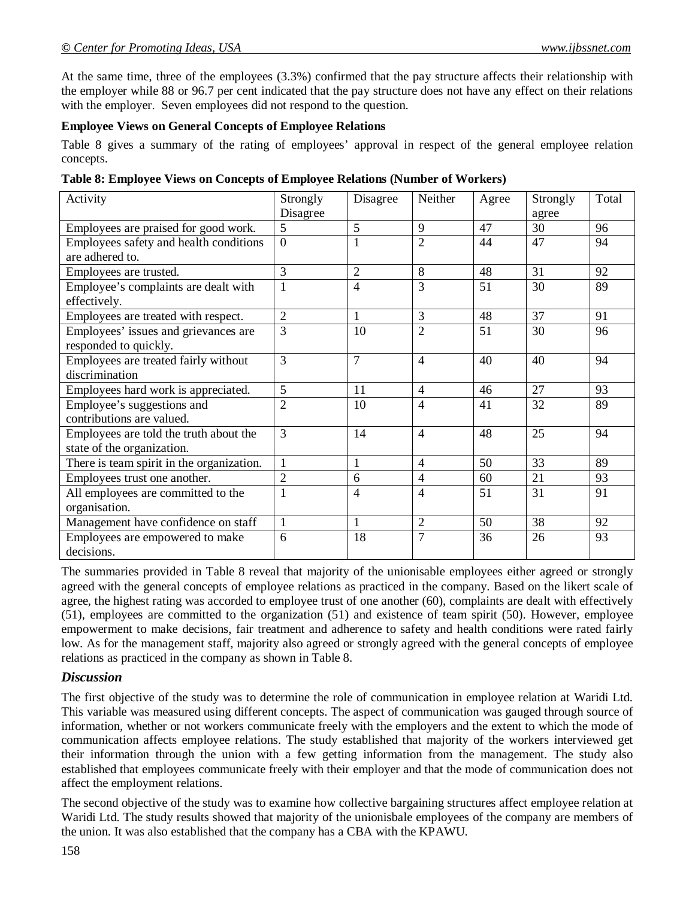At the same time, three of the employees (3.3%) confirmed that the pay structure affects their relationship with the employer while 88 or 96.7 per cent indicated that the pay structure does not have any effect on their relations with the employer. Seven employees did not respond to the question.

### **Employee Views on General Concepts of Employee Relations**

Table 8 gives a summary of the rating of employees' approval in respect of the general employee relation concepts.

|  |  | Table 8: Employee Views on Concepts of Employee Relations (Number of Workers) |
|--|--|-------------------------------------------------------------------------------|
|--|--|-------------------------------------------------------------------------------|

| Activity                                  | Strongly       | Disagree       | Neither        | Agree | Strongly | Total |
|-------------------------------------------|----------------|----------------|----------------|-------|----------|-------|
|                                           | Disagree       |                |                |       | agree    |       |
| Employees are praised for good work.      | 5              | 5              | 9              | 47    | 30       | 96    |
| Employees safety and health conditions    | $\Omega$       | 1              | $\overline{2}$ | 44    | 47       | 94    |
| are adhered to.                           |                |                |                |       |          |       |
| Employees are trusted.                    | 3              | $\overline{2}$ | 8              | 48    | 31       | 92    |
| Employee's complaints are dealt with      | 1              | $\overline{4}$ | 3              | 51    | 30       | 89    |
| effectively.                              |                |                |                |       |          |       |
| Employees are treated with respect.       | $\overline{2}$ | $\mathbf{1}$   | 3              | 48    | 37       | 91    |
| Employees' issues and grievances are      | 3              | 10             | $\overline{2}$ | 51    | 30       | 96    |
| responded to quickly.                     |                |                |                |       |          |       |
| Employees are treated fairly without      | 3              | $\overline{7}$ | 4              | 40    | 40       | 94    |
| discrimination                            |                |                |                |       |          |       |
| Employees hard work is appreciated.       | 5              | 11             | 4              | 46    | 27       | 93    |
| Employee's suggestions and                | $\overline{2}$ | 10             | 4              | 41    | 32       | 89    |
| contributions are valued.                 |                |                |                |       |          |       |
| Employees are told the truth about the    | 3              | 14             | $\overline{4}$ | 48    | 25       | 94    |
| state of the organization.                |                |                |                |       |          |       |
| There is team spirit in the organization. | $\mathbf{1}$   | 1              | $\overline{4}$ | 50    | 33       | 89    |
| Employees trust one another.              | $\overline{2}$ | 6              | 4              | 60    | 21       | 93    |
| All employees are committed to the        | 1              | $\overline{4}$ | 4              | 51    | 31       | 91    |
| organisation.                             |                |                |                |       |          |       |
| Management have confidence on staff       | $\mathbf{1}$   | 1              | $\overline{2}$ | 50    | 38       | 92    |
| Employees are empowered to make           | 6              | 18             | 7              | 36    | 26       | 93    |
| decisions.                                |                |                |                |       |          |       |

The summaries provided in Table 8 reveal that majority of the unionisable employees either agreed or strongly agreed with the general concepts of employee relations as practiced in the company. Based on the likert scale of agree, the highest rating was accorded to employee trust of one another (60), complaints are dealt with effectively (51), employees are committed to the organization (51) and existence of team spirit (50). However, employee empowerment to make decisions, fair treatment and adherence to safety and health conditions were rated fairly low. As for the management staff, majority also agreed or strongly agreed with the general concepts of employee relations as practiced in the company as shown in Table 8.

### *Discussion*

The first objective of the study was to determine the role of communication in employee relation at Waridi Ltd. This variable was measured using different concepts. The aspect of communication was gauged through source of information, whether or not workers communicate freely with the employers and the extent to which the mode of communication affects employee relations. The study established that majority of the workers interviewed get their information through the union with a few getting information from the management. The study also established that employees communicate freely with their employer and that the mode of communication does not affect the employment relations.

The second objective of the study was to examine how collective bargaining structures affect employee relation at Waridi Ltd. The study results showed that majority of the unionisbale employees of the company are members of the union. It was also established that the company has a CBA with the KPAWU.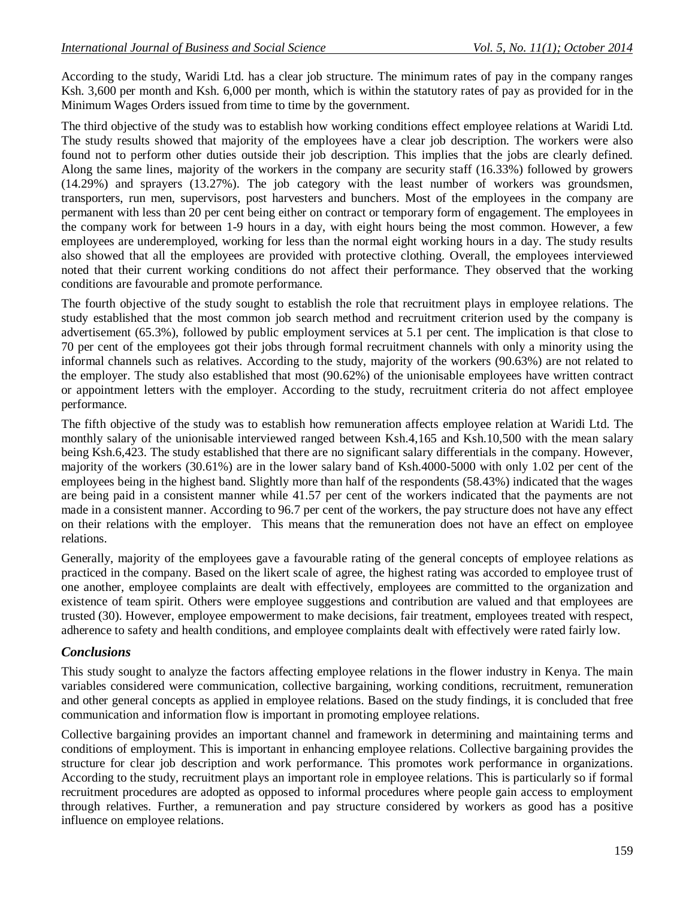According to the study, Waridi Ltd. has a clear job structure. The minimum rates of pay in the company ranges Ksh. 3,600 per month and Ksh. 6,000 per month, which is within the statutory rates of pay as provided for in the Minimum Wages Orders issued from time to time by the government.

The third objective of the study was to establish how working conditions effect employee relations at Waridi Ltd. The study results showed that majority of the employees have a clear job description. The workers were also found not to perform other duties outside their job description. This implies that the jobs are clearly defined. Along the same lines, majority of the workers in the company are security staff (16.33%) followed by growers (14.29%) and sprayers (13.27%). The job category with the least number of workers was groundsmen, transporters, run men, supervisors, post harvesters and bunchers. Most of the employees in the company are permanent with less than 20 per cent being either on contract or temporary form of engagement. The employees in the company work for between 1-9 hours in a day, with eight hours being the most common. However, a few employees are underemployed, working for less than the normal eight working hours in a day. The study results also showed that all the employees are provided with protective clothing. Overall, the employees interviewed noted that their current working conditions do not affect their performance. They observed that the working conditions are favourable and promote performance.

The fourth objective of the study sought to establish the role that recruitment plays in employee relations. The study established that the most common job search method and recruitment criterion used by the company is advertisement (65.3%), followed by public employment services at 5.1 per cent. The implication is that close to 70 per cent of the employees got their jobs through formal recruitment channels with only a minority using the informal channels such as relatives. According to the study, majority of the workers (90.63%) are not related to the employer. The study also established that most (90.62%) of the unionisable employees have written contract or appointment letters with the employer. According to the study, recruitment criteria do not affect employee performance.

The fifth objective of the study was to establish how remuneration affects employee relation at Waridi Ltd. The monthly salary of the unionisable interviewed ranged between Ksh.4,165 and Ksh.10,500 with the mean salary being Ksh.6,423. The study established that there are no significant salary differentials in the company. However, majority of the workers (30.61%) are in the lower salary band of Ksh.4000-5000 with only 1.02 per cent of the employees being in the highest band. Slightly more than half of the respondents (58.43%) indicated that the wages are being paid in a consistent manner while 41.57 per cent of the workers indicated that the payments are not made in a consistent manner. According to 96.7 per cent of the workers, the pay structure does not have any effect on their relations with the employer. This means that the remuneration does not have an effect on employee relations.

Generally, majority of the employees gave a favourable rating of the general concepts of employee relations as practiced in the company. Based on the likert scale of agree, the highest rating was accorded to employee trust of one another, employee complaints are dealt with effectively, employees are committed to the organization and existence of team spirit. Others were employee suggestions and contribution are valued and that employees are trusted (30). However, employee empowerment to make decisions, fair treatment, employees treated with respect, adherence to safety and health conditions, and employee complaints dealt with effectively were rated fairly low.

## *Conclusions*

This study sought to analyze the factors affecting employee relations in the flower industry in Kenya. The main variables considered were communication, collective bargaining, working conditions, recruitment, remuneration and other general concepts as applied in employee relations. Based on the study findings, it is concluded that free communication and information flow is important in promoting employee relations.

Collective bargaining provides an important channel and framework in determining and maintaining terms and conditions of employment. This is important in enhancing employee relations. Collective bargaining provides the structure for clear job description and work performance. This promotes work performance in organizations. According to the study, recruitment plays an important role in employee relations. This is particularly so if formal recruitment procedures are adopted as opposed to informal procedures where people gain access to employment through relatives. Further, a remuneration and pay structure considered by workers as good has a positive influence on employee relations.